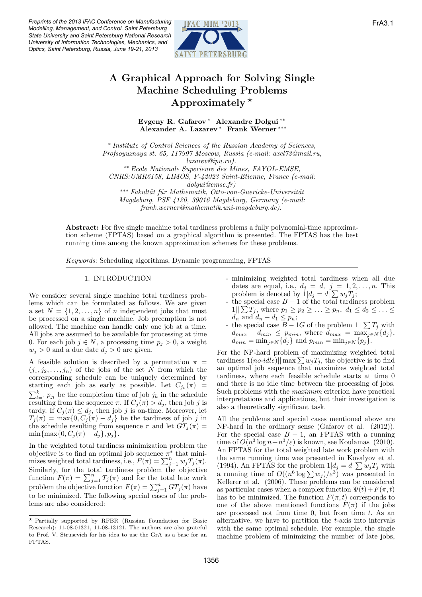

## A Graphical Approach for Solving Single Machine Scheduling Problems Approximately  $\star$

Evgeny R. Gafarov <sup>∗</sup> Alexandre Dolgui ∗∗ Alexander A. Lazarev <sup>∗</sup> Frank Werner ∗∗∗

∗ Institute of Control Sciences of the Russian Academy of Sciences, Profsoyuznaya st. 65, 117997 Moscow, Russia (e-mail: axel73@mail.ru, lazarev@ipu.ru). ∗∗ Ecole Nationale Superieure des Mines, FAYOL-EMSE, CNRS:UMR6158, LIMOS, F-42023 Saint-Etienne, France (e-mail: dolgui@emse.fr) ∗•∗ Fakultät für Mathematik, Otto-von-Guericke-Universität Magdeburg, PSF 4120, 39016 Magdeburg, Germany (e-mail: frank.werner@mathematik.uni-magdeburg.de).

Abstract: For five single machine total tardiness problems a fully polynomial-time approximation scheme (FPTAS) based on a graphical algorithm is presented. The FPTAS has the best running time among the known approximation schemes for these problems.

Keywords: Scheduling algorithms, Dynamic programming, FPTAS

#### 1. INTRODUCTION

We consider several single machine total tardiness problems which can be formulated as follows. We are given a set  $N = \{1, 2, ..., n\}$  of n independent jobs that must be processed on a single machine. Job preemption is not allowed. The machine can handle only one job at a time. All jobs are assumed to be available for processing at time 0. For each job  $j \in N$ , a processing time  $p_j > 0$ , a weight  $w_j > 0$  and a due date  $d_j > 0$  are given.

A feasible solution is described by a permutation  $\pi$  =  $(j_1, j_2, \ldots, j_n)$  of the jobs of the set N from which the corresponding schedule can be uniquely determined by starting each job as early as possible. Let  $C_{j_k}(\pi) =$  $\sum_{l=1}^{k} p_{j_l}$  be the completion time of job  $j_k$  in the schedule resulting from the sequence  $\pi$ . If  $C_j(\pi) > d_j$ , then job j is tardy. If  $C_j(\pi) \leq d_j$ , then job j is on-time. Moreover, let  $T_j(\pi) = \max\{0, C_j(\pi) - d_j\}$  be the tardiness of job j in the schedule resulting from sequence  $\pi$  and let  $GT_j(\pi)$  =  $\min\{\max\{0, C_j(\pi) - d_j\}, p_j\}.$ 

In the weighted total tardiness minimization problem the objective is to find an optimal job sequence  $\pi^*$  that minimizes weighted total tardiness, i.e.,  $F(\pi) = \sum_{j=1}^n w_j T_j(\pi)$ . Similarly, for the total tardiness problem the objective function  $F(\pi) = \sum_{j=1}^{n} T_j(\pi)$  and for the total late work problem the objective function  $F(\pi) = \sum_{j=1}^{n} GT_j(\pi)$  have to be minimized. The following special cases of the problems are also considered:

- minimizing weighted total tardiness when all due dates are equal, i.e.,  $d_j = d, j = 1, 2, \ldots, n$ . This dates are equal, i.e.,  $d_j = d, j = 1, 2,$ <br>problem is denoted by  $1|d_j = d| \sum w_j T_j;$
- the special case  $B 1$  of the total tardiness problem  $1||\sum T_j$ , where  $p_1 \geq p_2 \geq \ldots \geq p_n$ ,  $d_1 \leq d_2 \leq \ldots \leq d_n$  $d_n$  and  $d_n - d_1 \leq p_n$ ;<br>- the special case  $B - 1G$  of the problem  $1|| \sum T_j$  with
- $d_{max} d_{min} \leq p_{min}$ , where  $d_{max} = \max_{j \in N} \{d_j\},\$  $d_{min} = \min_{j \in \mathbb{N}} \{d_j\}$  and  $p_{min} = \min_{j \in \mathbb{N}} \{p_j\}.$

For the NP-hard problem of maximizing weighted total tardiness  $1(no-idle)||max\sum w_jT_j$ , the objective is to find an optimal job sequence  $\overline{\text{that}}$  maximizes weighted total tardiness, where each feasible schedule starts at time 0 and there is no idle time between the processing of jobs. Such problems with the maximum criterion have practical interpretations and applications, but their investigation is also a theoretically significant task.

All the problems and special cases mentioned above are NP-hard in the ordinary sense (Gafarov et al. (2012)). For the special case  $B - 1$ , an FPTAS with a running time of  $O(n^3 \log n + n^3/\varepsilon)$  is known, see Koulamas (2010). An FPTAS for the total weighted late work problem with the same running time was presented in Kovalyov et al. the same running time was presented in Kovalyov et al.<br>(1994). An FPTAS for the problem  $1|d_j = d \sum w_j T_j$  with (1994). An FF LAS for the problem  $1|u_j = a| \sum w_j I_j$  with<br>a running time of  $O((n^6 \log \sum w_j)/\varepsilon^3)$  was presented in Kellerer et al. (2006). These problems can be considered as particular cases when a complex function  $\Psi(t)+F(\pi, t)$ has to be minimized. The function  $F(\pi, t)$  corresponds to one of the above mentioned functions  $F(\pi)$  if the jobs are processed not from time 0, but from time  $t$ . As an alternative, we have to partition the t-axis into intervals with the same optimal schedule. For example, the single machine problem of minimizing the number of late jobs,

<sup>?</sup> Partially supported by RFBR (Russian Foundation for Basic Research): 11-08-01321, 11-08-13121. The authors are also grateful to Prof. V. Strusevich for his idea to use the GrA as a base for an FPTAS.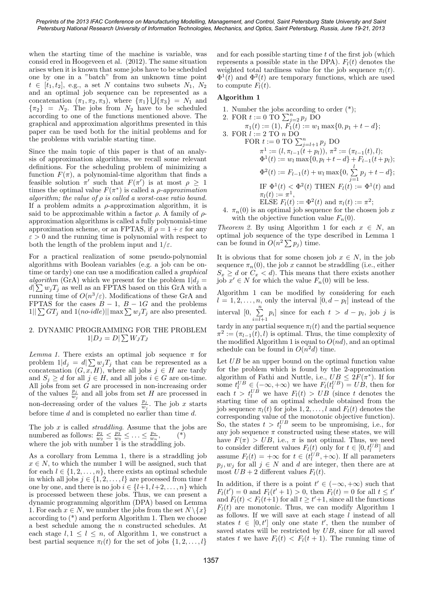when the starting time of the machine is variable, was consid ered in Hoogeveen et al. (2012). The same situation arises when it is known that some jobs have to be scheduled one by one in a "batch" from an unknown time point  $t \in [t_1, t_2], \text{ e.g., a set } N \text{ contains two subsets } N_1, N_2$ and an optimal job sequence can be represented as a concatenation  $(\pi_1, \pi_2, \pi_3)$ , where  ${\lbrace \pi_1 \rbrace \bigcup {\lbrace \pi_3 \rbrace}} = N_1$  and  $\{\pi_2\}$  =  $N_2$ . The jobs from  $N_2$  have to be scheduled according to one of the functions mentioned above. The graphical and approximation algorithms presented in this paper can be used both for the initial problems and for the problems with variable starting time.

Since the main topic of this paper is that of an analysis of approximation algorithms, we recall some relevant definitions. For the scheduling problem of minimizing a function  $F(\pi)$ , a polynomial-time algorithm that finds a feasible solution  $\pi'$  such that  $F(\pi')$  is at most  $\rho \geq 1$ times the optimal value  $F(\pi^*)$  is called a *ρ*-approximation algorithm; the value of  $\rho$  is called a worst-case ratio bound. If a problem admits a  $\rho$ -approximation algorithm, it is said to be approximable within a factor  $\rho$ . A family of  $\rho$ approximation algorithms is called a fully polynomial-time approximation scheme, or an FPTAS, if  $\rho = 1 + \varepsilon$  for any  $\varepsilon > 0$  and the running time is polynomial with respect to both the length of the problem input and  $1/\varepsilon$ .

For a practical realization of some pseudo-polynomial algorithms with Boolean variables (e.g. a job can be ontime or tardy) one can use a modification called a *graphical* algorithm (GrA) which we present for the problem  $1|d_i =$ *digorithm* (GrA) which we present for the problem  $1|d_j = d \sum w_j T_j$  as well as an FPTAS based on this GrA with a running time of  $O(n^3/\varepsilon)$ . Modifications of these GrA and FPTAS for the cases  $B - 1$ ,  $B - 1G$  and the problems  $1||\sum GT_j$  and  $1(no-idle)||$  max  $\sum w_jT_j$  are also presented.

## 2. DYNAMIC PROGRAMMING FOR THE PROBLEM JGRAMMING FOI $1|D_J = D| \sum W_J T_J$

*Lemma 1.* There exists an optimal job sequence  $\pi$  for Lemma 1. There exists an optimal job sequence  $\pi$  for problem  $1|d_j = d_j \sum_i y_j T_j$  that can be represented as a concatenation  $(G, x, H)$ , where all jobs  $j \in H$  are tardy and  $S_j \geq d$  for all  $j \in H$ , and all jobs  $i \in G$  are on-time. All jobs from set G are processed in non-increasing order of the values  $\frac{p_j}{w_j}$  and all jobs from set H are processed in non-decreasing order of the values  $\frac{p_j}{w_j}$ . The job x starts before time d and is completed no earlier than time d.

The job  $x$  is called *straddling*. Assume that the jobs are numbered as follows:  $\frac{p_2}{w_2} \leq \frac{p_3}{w_3} \leq \ldots \leq \frac{p_n}{w_n},$  (\*) where the job with number 1 is the straddling job.

As a corollary from Lemma 1, there is a straddling job  $x \in N$ , to which the number 1 will be assigned, such that for each  $l \in \{1, 2, \ldots, n\}$ , there exists an optimal schedule in which all jobs  $j \in \{1, 2, \ldots, l\}$  are processed from time t one by one, and there is no job  $i \in \{l+1, l+2, \ldots, n\}$  which is processed between these jobs. Thus, we can present a dynamic programming algorithm (DPA) based on Lemma 1. For each  $x \in N$ , we number the jobs from the set  $N \setminus \{x\}$ according to (\*) and perform Algorithm 1. Then we choose a best schedule among the n constructed schedules. At each stage  $l, 1 \leq l \leq n$ , of Algorithm 1, we construct a best partial sequence  $\pi_l(t)$  for the set of jobs  $\{1, 2, \ldots, l\}$ 

and for each possible starting time  $t$  of the first job (which represents a possible state in the DPA).  $F_l(t)$  denotes the weighted total tardiness value for the job sequence  $\pi_l(t)$ .  $\Phi^1(\tilde{t})$  and  $\Phi^2(t)$  are temporary functions, which are used to compute  $F_l(t)$ .

### Algorithm 1

1. Number the jobs according to order (\*);<br>2. FOR  $t := 0$  TO  $\sum_{j=2}^{n} p_j$  DO  $\pi_1(t) := (1), F_1(t) := w_1 \max\{0, p_1 + t - d\};$ 3. FOR  $l := 2$  TO n DO  $\mathcal{R} \, l := 2 \text{ TO } n \text{ DO}$ <br>FOR  $t := 0 \text{ TO } \sum_{j=l+1}^{n} p_j \text{ DO}$  $\pi^1 := (l, \pi_{l-1}(t + p_l)), \pi^2 := (\pi_{l-1}(t), l);$  $\Phi^1(t) := w_l \max\{0, p_l + t - d\} + F_{l-1}(t+p_l);$  $\Phi^2(t) := F_{l-1}(t) + w_l \max\{0, \sum_{l=1}^l$  $\sum_{j=1} p_j + t - d$ ; IF  $\Phi^1(t) < \Phi^2(t)$  THEN  $F_l(t) := \Phi^1(t)$  and  $\pi_l(t) := \pi^1,$ ELSE  $F_l(t) := \Phi^2(t)$  and  $\pi_l(t) := \pi^2$ ;

4.  $\pi_n(0)$  is an optimal job sequence for the chosen job x with the objective function value  $F_n(0)$ .

Theorem 2. By using Algorithm 1 for each  $x \in N$ , an optimal job sequence of the type described in Lemma 1 optimal job sequence of the type<br>can be found in  $O(n^2 \sum p_j)$  time.

It is obvious that for some chosen job  $x \in N$ , in the job sequence  $\pi_n(0)$ , the job x cannot be straddling (i.e., either  $S_x \geq d$  or  $C_x < d$ ). This means that there exists another job  $x' \in N$  for which the value  $F_n(0)$  will be less.

Algorithm 1 can be modified by considering for each  $l = 1, 2, \ldots, n$ , only the interval  $[0, d - p_l]$  instead of the interval [0,  $\frac{n}{2}$  $\sum_{i=l+1} p_i$  since for each  $t > d - p_l$ , job j is

tardy in any partial sequence  $\pi_l(t)$  and the partial sequence  $\pi^2 := (\pi_{l-1}(t), l)$  is optimal. Thus, the time complexity of the modified Algorithm 1 is equal to  $O(nd)$ , and an optimal schedule can be found in  $O(n^2d)$  time.

Let  $UB$  be an upper bound on the optimal function value for the problem which is found by the 2-approximation algorithm of Fathi and Nuttle, i.e.,  $UB \leq 2F(\pi^*)$ . If for some  $t_l^{UB} \in (-\infty, +\infty)$  we have  $F_l(t_l^{UB}) = UB$ , then for each  $t > t_l^{UB}$  we have  $F_l(t) > UB$  (since t denotes the starting time of an optimal schedule obtained from the job sequence  $\pi_l(t)$  for jobs  $1, 2, \ldots, l$  and  $F_l(t)$  denotes the corresponding value of the monotonic objective function). So, the states  $t > t_l^{UB}$  seem to be unpromising, i.e., for any job sequence  $\pi$  constructed using these states, we will have  $F(\pi) > UB$ , i.e.,  $\pi$  is not optimal. Thus, we need to consider different values  $F_l(t)$  only for  $t \in [0, t_l^{UB}]$  and to consider different values  $P_l(t)$  only for  $t \in [0, t_l]$  and<br>assume  $F_l(t) = +\infty$  for  $t \in (t_l^{UB}, +\infty)$ . If all parameters  $p_j, w_j$  for all  $j \in N$  and d are integer, then there are at most  $UB + 2$  different values  $F_l(t)$ .

In addition, if there is a point  $t' \in (-\infty, +\infty)$  such that  $F_l(t') = 0$  and  $F_l(t'+1) > 0$ , then  $F_l(t) = 0$  for all  $t \leq t'$ and  $F_l(t) < F_l(t+1)$  for all  $t \geq t' + 1$ , since all the functions  $F_l(t)$  are monotonic. Thus, we can modify Algorithm 1 as follows. If we will save at each stage l instead of all states  $t \in [0, t']$  only one state  $t'$ , then the number of saved states will be restricted by  $UB$ , since for all saved states t we have  $F_l(t) < F_l(t+1)$ . The running time of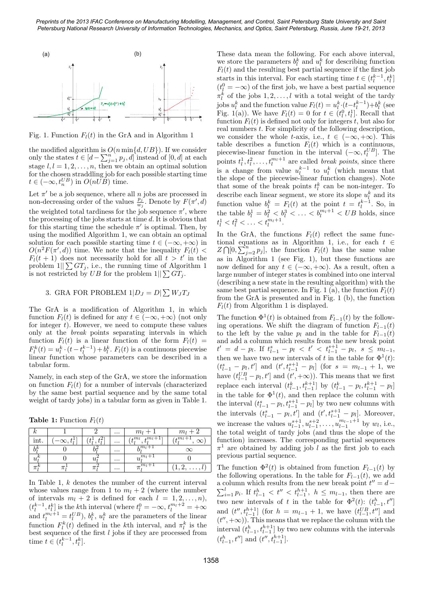

Fig. 1. Function  $F_l(t)$  in the GrA and in Algorithm 1

the modified algorithm is  $O(n \min\{d, UB\})$ . If we consider the modified algorithm is  $O(n \min\{d, UB\})$ . If we consider<br>only the states  $t \in [d - \sum_{j=1}^{n} p_j, d]$  instead of  $[0, d]$  at each stage  $l, l = 1, 2, \ldots, n$ , then we obtain an optimal solution for the chosen straddling job for each possible starting time  $t \in (-\infty, t_n^{UB})$  in  $O(n\tilde{UB})$  time.

Let  $\pi'$  be a job sequence, where all n jobs are processed in non-decreasing order of the values  $\frac{p_j}{w_j}$ . Denote by  $F(\pi', d)$ the weighted total tardiness for the job sequence  $\pi'$ , where the processing of the jobs starts at time  $d$ . It is obvious that for this starting time the schedule  $\pi'$  is optimal. Then, by using the modified Algorithm 1, we can obtain an optimal solution for each possible starting time  $t \in (-\infty, +\infty)$  in  $O(n^2 F(\pi', d))$  time. We note that the inequality  $F_l(t)$  <  $F_l(t + 1)$  does not necessarily hold for all  $t > t'$  in the  $F_l(t+1)$  does not necessarily hold for all  $t > t$  in the problem  $1||\sum GT_j$ , i.e., the running time of Algorithm 1 problem  $1||\sum GT_j$ , i.e., the running time of Algor<br>is not restricted by UB for the problem  $1||\sum GT_j$ .

# 3. GRA FOR PROBLEM  $1|D_J = D| \sum W_J T_J$

The GrA is a modification of Algorithm 1, in which function  $F_l(t)$  is defined for any  $t \in (-\infty, +\infty)$  (not only for integer  $t$ ). However, we need to compute these values only at the break points separating intervals in which function  $F_l(t)$  is a linear function of the form  $F_l(t)$  =  $F_l^k(t) = u_l^k \cdot (t - t_l^{k-1}) + b_l^k$ .  $F_l(t)$  is a continuous piecewise linear function whose parameters can be described in a tabular form.

Namely, in each step of the GrA, we store the information on function  $F_l(t)$  for a number of intervals (characterized by the same best partial sequence and by the same total weight of tardy jobs) in a tabular form as given in Table 1.

**Table 1:** Function  $F_l(t)$ 

|                  |  | $\cdots$ | $m_l+1$                     | $m_l+2$ |
|------------------|--|----------|-----------------------------|---------|
| int.             |  | $\cdots$ | $_{\perp}m_l$<br>$+m_l+1$ ] |         |
|                  |  | $\cdots$ | $\mu m_l+1$                 |         |
| $\boldsymbol{u}$ |  | $\cdots$ | $u_l^{m_l+1}$               |         |
|                  |  | $\cdots$ | $\pi_i^{\overline{m}_l+1}$  |         |

In Table 1, k denotes the number of the current interval whose values range from 1 to  $m_l + 2$  (where the number of intervals  $m_l + 2$  is defined for each  $l = 1, 2, \ldots, n$ ,  $(t_l^{k-1}, t_l^k]$  is the *k*th interval (where  $t_l^0 = -\infty$ ,  $t_l^{m_l+2} = +\infty$ and  $t_l^{m_l+1} = t_l^{UB}$ ,  $b_l^k$ ,  $u_l^k$  are the parameters of the linear function  $F_l^k(t)$  defined in the k<sup>th</sup> interval, and  $\pi_l^k$  is the best sequence of the first l jobs if they are processed from time  $t \in (t_l^{k-1}, t_l^k]$ .

These data mean the following. For each above interval, we store the parameters  $b_l^k$  and  $u_l^k$  for describing function  $F_l(t)$  and the resulting best partial sequence if the first job starts in this interval. For each starting time  $t \in (t_l^{k-1}, t_l^k]$  $(t<sub>l</sub><sup>0</sup> = -\infty)$  of the first job, we have a best partial sequence  $\pi_l^k$  of the jobs  $1, 2, ..., l$  with a total weight of the tardy jobs  $u_l^k$  and the function value  $F_l(t) = u_l^k \cdot (t - t_l^{k-1}) + b_l^k$  (see Fig. 1(a)). We have  $F_l(t) = 0$  for  $t \in (t_l^0, t_l^1]$ . Recall that function  $F_l(t)$  is defined not only for integers t, but also for real numbers t. For simplicity of the following description, we consider the whole t-axis, i.e.,  $t \in (-\infty, +\infty)$ . This table describes a function  $F_l(t)$  which is a continuous, piecewise-linear function in the interval  $(-\infty, t_1^{UB}]$ . The plecewise-linear function in the line vari  $(-\infty, t_l)$ . The<br>points  $t_l^1, t_l^2, \ldots, t_l^{m_l+1}$  are called *break points*, since there is a change from value  $u_l^{k-1}$  to  $u_l^k$  (which means that the slope of the piecewise-linear function changes). Note that some of the break points  $t_l^k$  can be non-integer. To describe each linear segment, we store its slope  $u_l^k$  and its describe each linear segment, we store its slope  $u_l$  and its<br>function value  $b_l^k = F_l(t)$  at the point  $t = t_l^{k-1}$ . So, in the table  $b_l^1 = b_l^2 < b_l^3 < \ldots < b_l^{m_l+1} < UB$  holds, since  $t_l^1 < t_l^2 < \ldots < t_l^{m_l+1}.$ 

In the GrA, the functions  $F_l(t)$  reflect the same functional equations as in Algorithm 1, i.e., for each  $t \in \mathbb{Z} \cap [0, \sum_{n=1}^{n} t]$  the function  $F(t)$  has the game value  $Z \bigcap [0, \sum_{j=2}^n p_j],$  the function  $F_l(t)$  has the same value as in Algorithm 1 (see Fig. 1), but these functions are now defined for any  $t \in (-\infty, +\infty)$ . As a result, often a large number of integer states is combined into one interval (describing a new state in the resulting algorithm) with the same best partial sequence. In Fig. 1 (a), the function  $F_l(t)$ from the GrA is presented and in Fig. 1 (b), the function  $F_l(t)$  from Algorithm 1 is displayed.

The function  $\Phi^1(t)$  is obtained from  $F_{l-1}(t)$  by the following operations. We shift the diagram of function  $F_{l-1}(t)$ to the left by the value  $p_l$  and in the table for  $F_{l-1}(t)$ and add a column which results from the new break point  $t' = d - p_l$ . If  $t_{l-1}^s - p_l < t' < t_{l-1}^{s+1} - p_l$ ,  $s \leq m_{l-1}$ , then we have two new intervals of t in the table for  $\Phi^1(t)$ :  $(t_{l-1}^s - p_l, t']$  and  $(t', t_{l-1}^{s+1} - p_l]$  (for  $s = m_{l-1} + 1$ , we have  $(t_{l-1}^{UB} - p_l, t']$  and  $(t', +\infty)$ ). This means that we first replace each interval  $(t_{l-1}^k, t_{l-1}^{k+1}]$  by  $(t_{l-1}^k - p_l, t_{l-1}^{k+1} - p_l]$ in the table for  $\Phi^1(t)$ , and then replace the column with the interval  $(t_{l-1}^s - p_l, t_{l-1}^{s+1} - p_l]$  by two new columns with the intervals  $(t_{l-1}^s - p_l, t')$  and  $(t', t_{l-1}^{s+1} - p_l]$ . Moreover, we increase the values  $u_{l-1}^{s+1}, u_{l-1}^{s+2}, \ldots, u_{l-1}^{m_{l-1}+1}$  by  $w_l$ , i.e., the total weight of tardy jobs (and thus the slope of the function) increases. The corresponding partial sequences  $\pi^1$  are obtained by adding job l as the first job to each previous partial sequence.

The function  $\Phi^2(t)$  is obtained from function  $F_{l-1}(t)$  by the following operations. In the table for  $F_{l-1}(t)$ , we add a column which results from the new break point  $t'' = d \sum_{i=1}^{l} p_i$ . If  $t_{l-1}^h < t'' < t_{l-1}^{h+1}$ ,  $h \leq m_{l-1}$ , then there are two new intervals of t in the table for  $\Phi^2(t)$ :  $(t_{l-1}^h, t'']$ and  $(t'', t_{l-1}^{h+1}]$  (for  $h = m_{l-1} + 1$ , we have  $(t_{l-1}^{UB}, t'']$  and  $(t'', +\infty)$ . This means that we replace the column with the interval  $(t_{l-1}^h, t_{l-1}^{h+1}]$  by two new columns with the intervals  $(t^h_{l-1},t^{\prime\prime}]$  and  $(t^{\prime\prime},t^{h+1}_{l-1}].$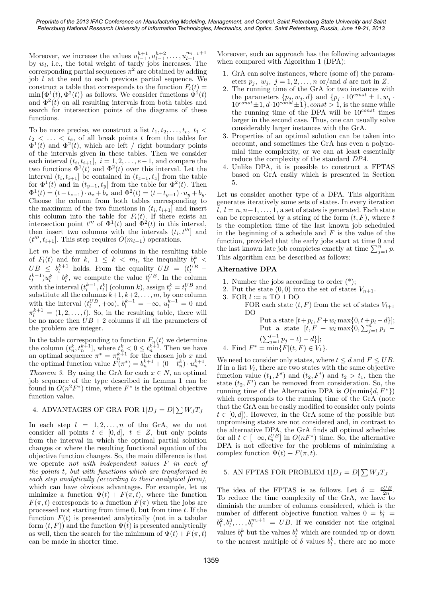Moreover, we increase the values  $u_{l-1}^{h+1}, u_{l-1}^{h+2}, \ldots, u_{l-1}^{m_{l-1}+1}$  by  $w_l$ , i.e., the total weight of tardy jobs increases. The corresponding partial sequences  $\pi^2$  are obtained by adding job l at the end to each previous partial sequence. We construct a table that corresponds to the function  $F_l(t) =$  $\min{\{\Phi^1(t), \Phi^2(t)\}}$  as follows. We consider functions  $\Phi^1(t)$ and  $\Phi^2(t)$  on all resulting intervals from both tables and search for intersection points of the diagrams of these functions.

To be more precise, we construct a list  $t_1, t_2, \ldots, t_e, t_1$  $t_2$  < ... <  $t_e$ , of all break points t from the tables for  $\Phi^1(t)$  and  $\Phi^2(t)$ , which are left / right boundary points of the intervals given in these tables. Then we consider each interval  $(t_i, t_{i+1}], i = 1, 2, \ldots, e-1$ , and compare the two functions  $\Phi^1(t)$  and  $\Phi^2(t)$  over this interval. Let the interval  $(t_i, t_{i+1}]$  be contained in  $(t_{z-1}, t_z]$  from the table for  $\Phi^1(t)$  and in  $(t_{y-1}, t_y]$  from the table for  $\Phi^2(t)$ . Then  $\Phi^1(t) = (t - t_{z-1}) \cdot u_z + b_z$  and  $\Phi^2(t) = (t - t_{y-1}) \cdot u_y + b_y$ . Choose the column from both tables corresponding to the maximum of the two functions in  $(t_i, t_{i+1}]$  and insert this column into the table for  $F_l(t)$ . If there exists an intersection point  $t^{\prime\prime\prime}$  of  $\Phi^1(t)$  and  $\tilde{\Phi}^2(t)$  in this interval, then insert two columns with the intervals  $(t_i, t^{\prime\prime\prime}]$  and  $(t''', t_{i+1}]$ . This step requires  $O(m_{l-1})$  operations.

Let  $m$  be the number of columns in the resulting table of  $F_l(t)$  and for  $k, 1 \leq k < m_l$ , the inequality  $b_l^k$  $UB \leq b_l^{k+1}$  holds. From the equality  $UB = (t_l^{UB} - t_l^{UB})$  $(t_l^{k-1})u_l^k + b_l^k$ , we compute the value  $t_l^{UB}$ . In the column with the interval  $(t_l^{k-1}, t_l^k]$  (column k), assign  $t_l^k = t_l^{UB}$  and substitute all the columns  $k+1, k+2, \ldots, m$ , by one column with the interval  $(t_l^{UB}, +\infty)$ ,  $b_l^{k+1} = +\infty$ ,  $u_l^{k+1} = 0$  and  $\pi_l^{k+1} = (1, 2, \ldots, l)$ . So, in the resulting table, there will be no more then  $UB + 2$  columns if all the parameters of the problem are integer.

In the table corresponding to function  $F_n(t)$  we determine the column  $(t_n^k, t_n^{k+1}]$ , where  $t_n^k < 0 \leq t_n^{k+1}$ . Then we have an optimal sequence  $\pi^* = \pi_n^{k+1}$  for the chosen job x and the optimal function value  $F(\pi^*) = b_n^{k+1} + (0 - t_n^k) \cdot u_n^{k+1}$ . Theorem 3. By using the GrA for each  $x \in N$ , an optimal job sequence of the type described in Lemma 1 can be found in  $O(n^2F^*)$  time, where  $F^*$  is the optimal objective function value.

# 4. ADVANTAGES OF GRA FOR  $1|D_J = D| \sum W_J T_J$

In each step  $l = 1, 2, ..., n$  of the GrA, we do not consider all points  $t \in [0, d], t \in Z$ , but only points from the interval in which the optimal partial solution changes or where the resulting functional equation of the objective function changes. So, the main difference is that we operate not with independent values F in each of the points t, but with functions which are transformed in each step analytically (according to their analytical form), which can have obvious advantages. For example, let us minimize a function  $\Psi(t) + F(\pi, t)$ , where the function  $F(\pi, t)$  corresponds to a function  $F(\pi)$  when the jobs are processed not starting from time 0, but from time  $t$ . If the function  $F(t)$  is presented analytically (not in a tabular form  $(t, F)$  and the function  $\Psi(t)$  is presented analytically as well, then the search for the minimum of  $\Psi(t) + F(\pi, t)$ can be made in shorter time.

Moreover, such an approach has the following advantages when compared with Algorithm 1 (DPA):

- 1. GrA can solve instances, where (some of) the parameters  $p_i$ ,  $w_j$ ,  $j = 1, 2, \ldots, n$  or/and d are not in Z.
- 2. The running time of the GrA for two instances with the parameters  $\{p_j, w_j, d\}$  and  $\{p_j \cdot 10^{const} \pm 1, w_j \cdot$  $10^{const} \pm 1, d \cdot 10^{const} \pm 1$ , const > 1, is the same while the running time of the DPA will be  $10^{const}$  times larger in the second case. Thus, one can usually solve considerably larger instances with the GrA.
- 3. Properties of an optimal solution can be taken into account, and sometimes the GrA has even a polynomial time complexity, or we can at least essentially reduce the complexity of the standard DPA.
- 4. Unlike DPA, it is possible to construct a FPTAS based on GrA easily which is presented in Section 5.

Let us consider another type of a DPA. This algorithm generates iteratively some sets of states. In every iteration  $l, l = n, n-1, \ldots, 1$ , a set of states is generated. Each state can be represented by a string of the form  $(t, F)$ , where t is the completion time of the last known job scheduled in the beginning of a schedule and  $F$  is the value of the function, provided that the early jobs start at time 0 and function, provided that the early jobs start at time 0 and<br>the last known late job completes exactly at time  $\sum_{j=1}^{n} p$ . This algorithm can be described as follows:

#### Alternative DPA

- 1. Number the jobs according to order (\*);
- 2. Put the state  $(0,0)$  into the set of states  $V_{n+1}$ .
- 3. FOR  $l := n$  TO 1 DO FOR each state  $(t, F)$  from the set of states  $V_{l+1}$ DO Put a state  $[t + p_l, F + w_l \max\{0, t + p_l - d\}];$ Put a state  $[t+p_l, F+w_l \max\{0, t+p_l-a\}];$ <br>Put a state  $[t, F + w_l \max\{0, \sum_{j=1}^n p_j \sum_{j=1}^{l-1} p_j - t - d\},$

4. Find 
$$
F^* = \min\{F | (t, F) \in V_1\}.
$$

We need to consider only states, where  $t \leq d$  and  $F \leq UB$ . If in a list  $V_l$ , there are two states with the same objective function value  $(t_1, F')$  and  $(t_2, F')$  and  $t_2 > t_1$ , then the state  $(t_2, F')$  can be removed from consideration. So, the running time of the Alternative DPA is  $O(n \min\{d, F^*\})$ which corresponds to the running time of the GrA (note that the GrA can be easily modified to consider only points  $t \in [0, d]$ . However, in the GrA some of the possible but unpromising states are not considered and, in contrast to the alternative DPA, the GrA finds all optimal schedules for all  $t \in [-\infty, t_n^{UB}]$  in  $O(nF^*)$  time. So, the alternative DPA is not effective for the problems of minimizing a complex function  $\Psi(t) + F(\pi, t)$ .

# 5. AN FPTAS FOR PROBLEM  $1|D_J = D| \sum W_J T_J$

The idea of the FPTAS is as follows. Let  $\delta = \frac{\varepsilon U B}{2n}$ . To reduce the time complexity of the GrA, we have to diminish the number of columns considered, which is the number of different objective function values  $0 = b_l^1$  $b_l^2, b_l^3, \ldots, b_l^{m_l+1} = UB$ . If we consider not the original values  $b_l^k$  but the values  $b_l^k$  which are rounded up or down to the nearest multiple of  $\delta$  values  $b_l^k$ , there are no more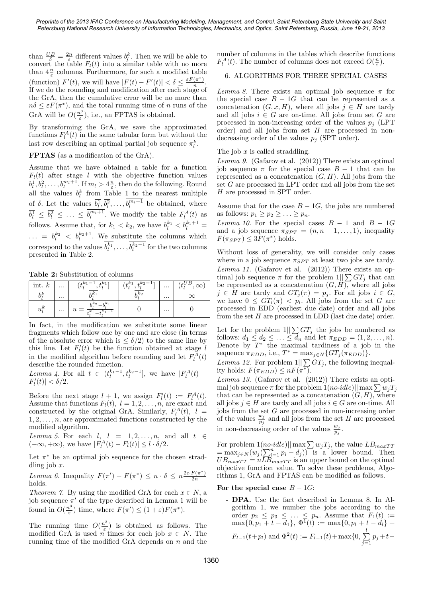than  $\frac{UB}{\delta} = \frac{2n}{\varepsilon}$  different values  $\overline{b_l^k}$ . Then we will be able to convert the table  $F_l(t)$  into a similar table with no more than  $4\frac{n}{\varepsilon}$  columns. Furthermore, for such a modified table (function)  $F'(t)$ , we will have  $|F(t) - F'(t)| < \delta \leq \frac{\varepsilon F(\pi^*)}{n}$  $\frac{(\pi)}{n}$ . If we do the rounding and modification after each stage of the GrA, then the cumulative error will be no more than  $n\delta \leq \varepsilon F(\pi^*)$ , and the total running time of n runs of the GrA will be  $O(\frac{n^3}{\epsilon})$  $\frac{a^3}{\varepsilon}$ ), i.e., an FPTAS is obtained.

By transforming the GrA, we save the approximated functions  $F_l^A(t)$  in the same tabular form but without the last row describing an optimal partial job sequence  $\pi_l^k$ .

#### FPTAS (as a modification of the GrA).

Assume that we have obtained a table for a function  $F_l(t)$  after stage l with the objective function values  $b_l^1, b_l^2, \ldots, b_l^{m_l+1}$ . If  $m_l > 4\frac{n}{\varepsilon}$ , then do the following. Round all the values  $b_l^k$  from Table 1 to the nearest multiple of  $\delta$ . Let the values  $\overline{b_l^1}, \overline{b_l^2}, \ldots, \overline{b_l^{m_l+1}}$  be obtained, where  $\overline{b_l^1} \leq \overline{b_l^2} \leq \ldots \leq \overline{b_l^{m_l+1}}$ . We modify the table  $F_l^A(t)$  as follows. Assume that, for  $k_1 < k_2$ , we have  $b_l^{k_1} < b_l^{k_1+1} =$  $\ldots = b_l^{k_2} < b_l^{k_2+1}$ . We substitute the columns which correspond to the values  $b_l^{k_1}, \ldots, b_l^{k_2-1}$  for the two columns presented in Table 2.

Table 2: Substitution of columns

| int. $k$ | $\cdots$ |          |          | $\cdots$ | UΒ |
|----------|----------|----------|----------|----------|----|
| ıк       | $\cdots$ | n.       | $1\,k_2$ | $\cdots$ |    |
| $u_i$    | $\cdots$ | $\bm{u}$ |          | $\cdots$ |    |

In fact, in the modification we substitute some linear fragments which follow one by one and are close (in terms of the absolute error which is  $\leq \delta/2$ ) to the same line by this line. Let  $F_l'(t)$  be the function obtained at stage l in the modified algorithm before rounding and let  $F_l^A(t)$ describe the rounded function.

Lemma 4. For all  $t \in (t_l^{k_1-1}, t_l^{k_2-1}]$ , we have  $|F_l^A(t) F'_l(t)| < \delta/2.$ 

Before the next stage  $l + 1$ , we assign  $F'_{l}(t) := F_{l}^{A}(t)$ . Assume that functions  $F_l(t)$ ,  $l = 1, 2, ..., n$ , are exact and constructed by the original GrA. Similarly,  $F_l^A(t)$ ,  $l =$  $1, 2, \ldots, n$ , are approximated functions constructed by the modified algorithm.

Lemma 5. For each  $l, l = 1, 2, ..., n$ , and all  $t \in$  $(-\infty, +\infty)$ , we have  $|F_l^A(t) - F_l(t)| \leq l \cdot \delta/2$ .

Let  $\pi^*$  be an optimal job sequence for the chosen straddling job  $x$ .

Lemma 6. Inequality  $F(\pi') - F(\pi^*) \leq n \cdot \delta \leq n^{\frac{2\varepsilon \cdot F(\pi^*)}{2n}}$  $\overline{2n}$ holds.

Theorem 7. By using the modified GrA for each  $x \in N$ , a job sequence  $\pi'$  of the type described in Lemma 1 will be found in  $O(\frac{n^3}{2})$  $\frac{n^3}{\varepsilon}$ ) time, where  $F(\pi') \leq (1+\varepsilon)F(\pi^*)$ .

The running time  $O(\frac{n^3}{\epsilon})$  $\left(\frac{v^3}{\varepsilon}\right)$  is obtained as follows. The modified GrA is used  $n \text{ times for each job } x \in N$ . The running time of the modified GrA depends on  $n$  and the number of columns in the tables which describe functions  $F_l^A(t)$ . The number of columns does not exceed  $O(\frac{n}{\varepsilon})$ .

### 6. ALGORITHMS FOR THREE SPECIAL CASES

Lemma 8. There exists an optimal job sequence  $\pi$  for the special case  $B - 1G$  that can be represented as a concatenation  $(G, x, H)$ , where all jobs  $j \in H$  are tardy and all jobs  $i \in G$  are on-time. All jobs from set G are processed in non-increasing order of the values  $p_i$  (LPT order) and all jobs from set  $H$  are processed in nondecreasing order of the values  $p_i$  (SPT order).

The job  $x$  is called straddling.

*Lemma 9.* (Gafarov et al.  $(2012)$ ) There exists an optimal job sequence  $\pi$  for the special case  $B-1$  that can be represented as a concatenation  $(G, H)$ . All jobs from the set G are processed in LPT order and all jobs from the set H are processed in SPT order.

Assume that for the case  $B - 1G$ , the jobs are numbered as follows:  $p_1 \geq p_2 \geq \ldots \geq p_n$ .

Lemma 10. For the special cases  $B - 1$  and  $B - 1G$ and a job sequence  $\pi_{SPT} = (n, n-1, \ldots, 1)$ , inequality  $F(\pi_{SPT}) \leq 3F(\pi^*)$  holds.

Without loss of generality, we will consider only cases where in a job sequence  $\pi_{SPT}$  at least two jobs are tardy. Lemma 11. (Gafarov et al.  $(2012)$ ) There exists an optimal job sequence  $\pi$  for the problem  $1||\sum GT_i$  that can be represented as a concatenation  $(G, H)$ , where all jobs  $j \in H$  are tardy and  $GT_j(\pi) = p_j$ . For all jobs  $i \in G$ , we have  $0 \leq GT_i(\pi) < p_i$ . All jobs from the set G are processed in EDD (earliest due date) order and all jobs from the set  $H$  are processed in LDD (last due date) order.

Let for the problem  $1||\sum GT_j$  the jobs be numbered as follows:  $d_1 \leq d_2 \leq \ldots \leq d_n$  and let  $\pi_{EDD} = (1, 2, \ldots, n)$ . Denote by  $T^*$  the maximal tardiness of a job in the sequence  $\pi_{EDD}$ , i.e.,  $T^* = \max_{j \in N} \{ GT_j(\pi_{EDD}) \}.$ 

Lemma 12. For problem  $1||\sum GT_j$ , the following inequality holds:  $F(\pi_{EDD}) \leq nF(\pi^*)$ .

Lemma 13. (Gafarov et al. (2012)) There exists an optimal job sequence  $\pi$  for the problem  $1(no$ -idle)|| max $\sum w_iT_i$ that can be represented as a concatenation  $(G, H)$ , where all jobs  $j \in H$  are tardy and all jobs  $i \in G$  are on-time. All jobs from the set G are processed in non-increasing order of the values  $\frac{w_j}{p_j}$  and all jobs from the set H are processed in non-decreasing order of the values  $\frac{w_j}{p_j}$ .

For problem  $1(no\text{-}idle)||\max\sum w_jT_j$ , the value  $LB_{maxTT}$ For problem  $1(n\delta t a t) || \max_{j \in \mathbb{N}} \sum_{i=1}^n y_i J_j$ , the value  $LB_{maxTT}$ <br>= max<sub>j∈N</sub> ( $w_j(\sum_{i=1}^n p_i - d_j)$ ) is a lower bound. Then  $UB_{maxTT} = nLB_{maxTT}$  is an upper bound on the optimal objective function value. To solve these problems, Algorithms 1, GrA and FPTAS can be modified as follows.

#### For the special case  $B - 1G$ :

- DPA. Use the fact described in Lemma 8. In Algorithm 1, we number the jobs according to the order  $p_2 \leq p_3 \leq \ldots \leq p_n$ . Assume that  $F_1(t) :=$  $\max\{0, p_1 + t - d_1\}, \ \Phi(1(t)) := \max\{0, p_1 + t - d_1\} +$  $F_{l-1}(t+p_l)$  and  $\Phi^2(t) := F_{l-1}(t) + \max\{0, \sum_{l=1}^{l} \Phi_l(t)\}$  $\sum_{j=1} p_j + t -$